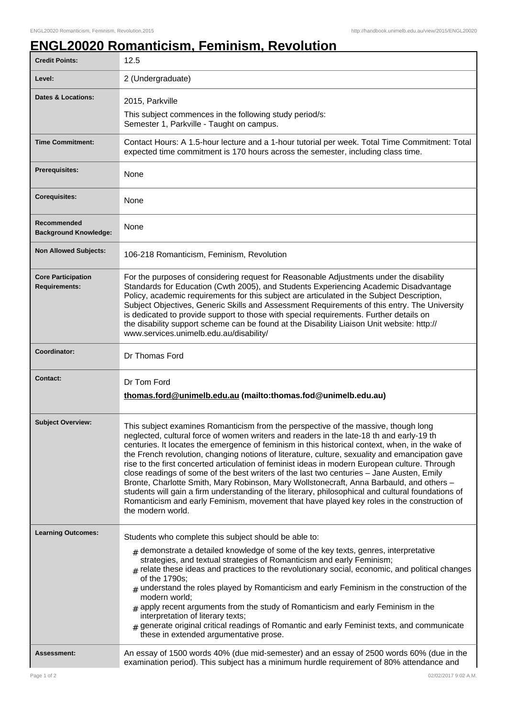## **ENGL20020 Romanticism, Feminism, Revolution**

| <b>Credit Points:</b>                             | 12.5                                                                                                                                                                                                                                                                                                                                                                                                                                                                                                                                                                                                                                                                                                                                                                                                                                                                                                      |
|---------------------------------------------------|-----------------------------------------------------------------------------------------------------------------------------------------------------------------------------------------------------------------------------------------------------------------------------------------------------------------------------------------------------------------------------------------------------------------------------------------------------------------------------------------------------------------------------------------------------------------------------------------------------------------------------------------------------------------------------------------------------------------------------------------------------------------------------------------------------------------------------------------------------------------------------------------------------------|
| Level:                                            | 2 (Undergraduate)                                                                                                                                                                                                                                                                                                                                                                                                                                                                                                                                                                                                                                                                                                                                                                                                                                                                                         |
| <b>Dates &amp; Locations:</b>                     | 2015, Parkville                                                                                                                                                                                                                                                                                                                                                                                                                                                                                                                                                                                                                                                                                                                                                                                                                                                                                           |
|                                                   | This subject commences in the following study period/s:<br>Semester 1, Parkville - Taught on campus.                                                                                                                                                                                                                                                                                                                                                                                                                                                                                                                                                                                                                                                                                                                                                                                                      |
| <b>Time Commitment:</b>                           | Contact Hours: A 1.5-hour lecture and a 1-hour tutorial per week. Total Time Commitment: Total<br>expected time commitment is 170 hours across the semester, including class time.                                                                                                                                                                                                                                                                                                                                                                                                                                                                                                                                                                                                                                                                                                                        |
| <b>Prerequisites:</b>                             | None                                                                                                                                                                                                                                                                                                                                                                                                                                                                                                                                                                                                                                                                                                                                                                                                                                                                                                      |
| <b>Corequisites:</b>                              | None                                                                                                                                                                                                                                                                                                                                                                                                                                                                                                                                                                                                                                                                                                                                                                                                                                                                                                      |
| Recommended<br><b>Background Knowledge:</b>       | None                                                                                                                                                                                                                                                                                                                                                                                                                                                                                                                                                                                                                                                                                                                                                                                                                                                                                                      |
| <b>Non Allowed Subjects:</b>                      | 106-218 Romanticism, Feminism, Revolution                                                                                                                                                                                                                                                                                                                                                                                                                                                                                                                                                                                                                                                                                                                                                                                                                                                                 |
| <b>Core Participation</b><br><b>Requirements:</b> | For the purposes of considering request for Reasonable Adjustments under the disability<br>Standards for Education (Cwth 2005), and Students Experiencing Academic Disadvantage<br>Policy, academic requirements for this subject are articulated in the Subject Description,<br>Subject Objectives, Generic Skills and Assessment Requirements of this entry. The University<br>is dedicated to provide support to those with special requirements. Further details on<br>the disability support scheme can be found at the Disability Liaison Unit website: http://<br>www.services.unimelb.edu.au/disability/                                                                                                                                                                                                                                                                                          |
| <b>Coordinator:</b>                               | Dr Thomas Ford                                                                                                                                                                                                                                                                                                                                                                                                                                                                                                                                                                                                                                                                                                                                                                                                                                                                                            |
| <b>Contact:</b>                                   | Dr Tom Ford<br>thomas.ford@unimelb.edu.au (mailto:thomas.fod@unimelb.edu.au)                                                                                                                                                                                                                                                                                                                                                                                                                                                                                                                                                                                                                                                                                                                                                                                                                              |
| <b>Subject Overview:</b>                          | This subject examines Romanticism from the perspective of the massive, though long<br>neglected, cultural force of women writers and readers in the late-18 th and early-19 th<br>centuries. It locates the emergence of feminism in this historical context, when, in the wake of<br>the French revolution, changing notions of literature, culture, sexuality and emancipation gave<br>rise to the first concerted articulation of feminist ideas in modern European culture. Through<br>close readings of some of the best writers of the last two centuries - Jane Austen, Emily<br>Bronte, Charlotte Smith, Mary Robinson, Mary Wollstonecraft, Anna Barbauld, and others -<br>students will gain a firm understanding of the literary, philosophical and cultural foundations of<br>Romanticism and early Feminism, movement that have played key roles in the construction of<br>the modern world. |
| <b>Learning Outcomes:</b>                         | Students who complete this subject should be able to:<br>$_{\#}$ demonstrate a detailed knowledge of some of the key texts, genres, interpretative<br>strategies, and textual strategies of Romanticism and early Feminism;<br>$_{\#}$ relate these ideas and practices to the revolutionary social, economic, and political changes<br>of the 1790s;<br>$#$ understand the roles played by Romanticism and early Feminism in the construction of the<br>modern world;<br>$*$ apply recent arguments from the study of Romanticism and early Feminism in the<br>interpretation of literary texts;<br>$_{\#}$ generate original critical readings of Romantic and early Feminist texts, and communicate<br>these in extended argumentative prose.                                                                                                                                                          |
| Assessment:                                       | An essay of 1500 words 40% (due mid-semester) and an essay of 2500 words 60% (due in the<br>examination period). This subject has a minimum hurdle requirement of 80% attendance and                                                                                                                                                                                                                                                                                                                                                                                                                                                                                                                                                                                                                                                                                                                      |